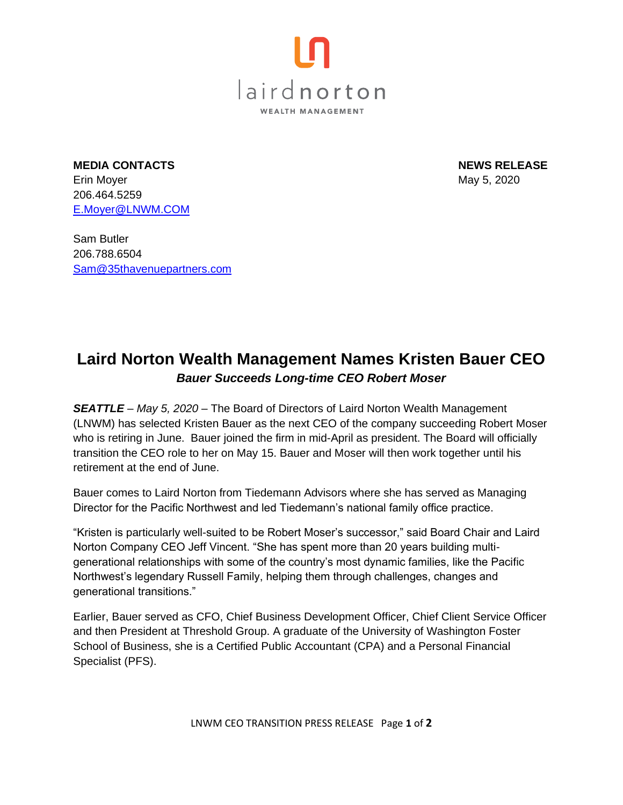

**MEDIA CONTACTS NEWS RELEASE**  Erin Moyer May 5, 2020 206.464.5259 [E.Moyer@LNWM.COM](mailto:E.Moyer@LNWM.COM)

Sam Butler 206.788.6504 [Sam@35thavenuepartners.com](mailto:Sam@35thavenuepartners.com)

## **Laird Norton Wealth Management Names Kristen Bauer CEO** *Bauer Succeeds Long-time CEO Robert Moser*

*SEATTLE – May 5, 2020* – The Board of Directors of Laird Norton Wealth Management (LNWM) has selected Kristen Bauer as the next CEO of the company succeeding Robert Moser who is retiring in June. Bauer joined the firm in mid-April as president. The Board will officially transition the CEO role to her on May 15. Bauer and Moser will then work together until his retirement at the end of June.

Bauer comes to Laird Norton from Tiedemann Advisors where she has served as Managing Director for the Pacific Northwest and led Tiedemann's national family office practice.

"Kristen is particularly well-suited to be Robert Moser's successor," said Board Chair and Laird Norton Company CEO Jeff Vincent. "She has spent more than 20 years building multigenerational relationships with some of the country's most dynamic families, like the Pacific Northwest's legendary Russell Family, helping them through challenges, changes and generational transitions."

Earlier, Bauer served as CFO, Chief Business Development Officer, Chief Client Service Officer and then President at Threshold Group. A graduate of the University of Washington Foster School of Business, she is a Certified Public Accountant (CPA) and a Personal Financial Specialist (PFS).

LNWM CEO TRANSITION PRESS RELEASE Page **1** of **2**